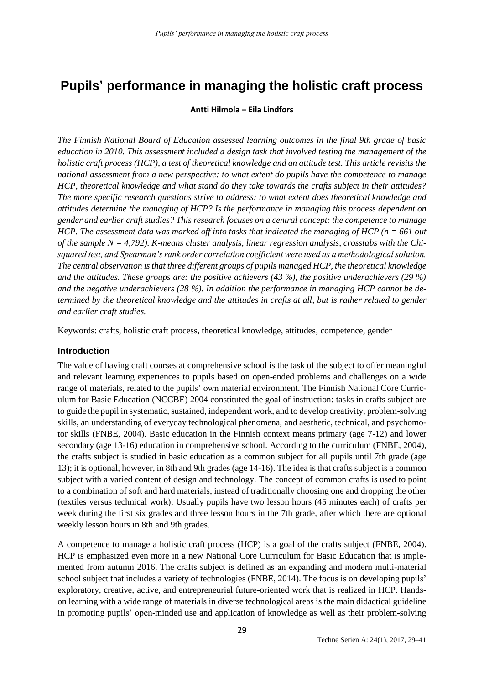# **Pupils' performance in managing the holistic craft process**

### **Antti Hilmola – Eila Lindfors**

*The Finnish National Board of Education assessed learning outcomes in the final 9th grade of basic education in 2010. This assessment included a design task that involved testing the management of the holistic craft process (HCP), a test of theoretical knowledge and an attitude test. This article revisits the national assessment from a new perspective: to what extent do pupils have the competence to manage HCP, theoretical knowledge and what stand do they take towards the crafts subject in their attitudes? The more specific research questions strive to address: to what extent does theoretical knowledge and attitudes determine the managing of HCP? Is the performance in managing this process dependent on gender and earlier craft studies? This research focuses on a central concept: the competence to manage HCP. The assessment data was marked off into tasks that indicated the managing of HCP (n = 661 out of the sample N = 4,792). K-means cluster analysis, linear regression analysis, crosstabs with the Chisquared test, and Spearman's rank order correlation coefficient were used as a methodological solution. The central observation is that three different groups of pupils managed HCP, the theoretical knowledge and the attitudes. These groups are: the positive achievers (43 %), the positive underachievers (29 %) and the negative underachievers (28 %). In addition the performance in managing HCP cannot be determined by the theoretical knowledge and the attitudes in crafts at all, but is rather related to gender and earlier craft studies.*

Keywords: crafts, holistic craft process, theoretical knowledge, attitudes, competence, gender

### **Introduction**

The value of having craft courses at comprehensive school is the task of the subject to offer meaningful and relevant learning experiences to pupils based on open-ended problems and challenges on a wide range of materials, related to the pupils' own material environment. The Finnish National Core Curriculum for Basic Education (NCCBE) 2004 constituted the goal of instruction: tasks in crafts subject are to guide the pupil in systematic, sustained, independent work, and to develop creativity, problem-solving skills, an understanding of everyday technological phenomena, and aesthetic, technical, and psychomotor skills (FNBE, 2004). Basic education in the Finnish context means primary (age 7-12) and lower secondary (age 13-16) education in comprehensive school. According to the curriculum (FNBE, 2004), the crafts subject is studied in basic education as a common subject for all pupils until 7th grade (age 13); it is optional, however, in 8th and 9th grades (age 14-16). The idea is that crafts subject is a common subject with a varied content of design and technology. The concept of common crafts is used to point to a combination of soft and hard materials, instead of traditionally choosing one and dropping the other (textiles versus technical work). Usually pupils have two lesson hours (45 minutes each) of crafts per week during the first six grades and three lesson hours in the 7th grade, after which there are optional weekly lesson hours in 8th and 9th grades.

A competence to manage a holistic craft process (HCP) is a goal of the crafts subject (FNBE, 2004). HCP is emphasized even more in a new National Core Curriculum for Basic Education that is implemented from autumn 2016. The crafts subject is defined as an expanding and modern multi-material school subject that includes a variety of technologies (FNBE, 2014). The focus is on developing pupils' exploratory, creative, active, and entrepreneurial future-oriented work that is realized in HCP. Handson learning with a wide range of materials in diverse technological areas is the main didactical guideline in promoting pupils' open-minded use and application of knowledge as well as their problem-solving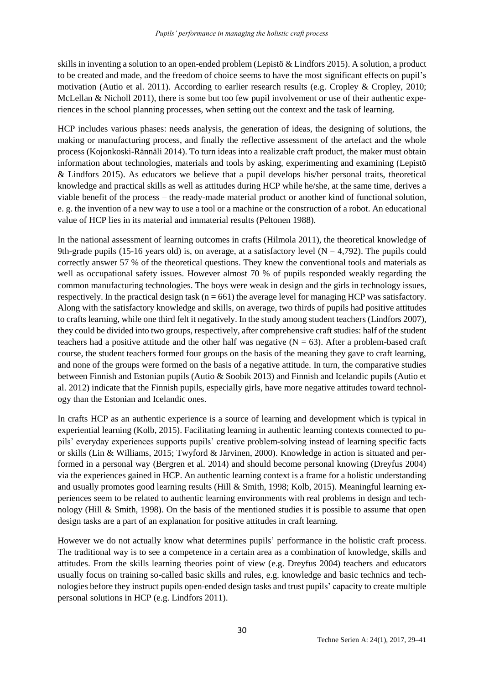skills in inventing a solution to an open-ended problem (Lepistö & Lindfors 2015). A solution, a product to be created and made, and the freedom of choice seems to have the most significant effects on pupil's motivation (Autio et al. 2011). According to earlier research results (e.g. Cropley & Cropley, 2010; McLellan & Nicholl 2011), there is some but too few pupil involvement or use of their authentic experiences in the school planning processes, when setting out the context and the task of learning.

HCP includes various phases: needs analysis, the generation of ideas, the designing of solutions, the making or manufacturing process, and finally the reflective assessment of the artefact and the whole process (Kojonkoski-Rännäli 2014). To turn ideas into a realizable craft product, the maker must obtain information about technologies, materials and tools by asking, experimenting and examining (Lepistö & Lindfors 2015). As educators we believe that a pupil develops his/her personal traits, theoretical knowledge and practical skills as well as attitudes during HCP while he/she, at the same time, derives a viable benefit of the process – the ready-made material product or another kind of functional solution, e. g. the invention of a new way to use a tool or a machine or the construction of a robot. An educational value of HCP lies in its material and immaterial results (Peltonen 1988).

In the national assessment of learning outcomes in crafts (Hilmola 2011), the theoretical knowledge of 9th-grade pupils (15-16 years old) is, on average, at a satisfactory level  $(N = 4,792)$ . The pupils could correctly answer 57 % of the theoretical questions. They knew the conventional tools and materials as well as occupational safety issues. However almost 70 % of pupils responded weakly regarding the common manufacturing technologies. The boys were weak in design and the girls in technology issues, respectively. In the practical design task ( $n = 661$ ) the average level for managing HCP was satisfactory. Along with the satisfactory knowledge and skills, on average, two thirds of pupils had positive attitudes to crafts learning, while one third felt it negatively. In the study among student teachers (Lindfors 2007), they could be divided into two groups, respectively, after comprehensive craft studies: half of the student teachers had a positive attitude and the other half was negative  $(N = 63)$ . After a problem-based craft course, the student teachers formed four groups on the basis of the meaning they gave to craft learning, and none of the groups were formed on the basis of a negative attitude. In turn, the comparative studies between Finnish and Estonian pupils (Autio & Soobik 2013) and Finnish and Icelandic pupils (Autio et al. 2012) indicate that the Finnish pupils, especially girls, have more negative attitudes toward technology than the Estonian and Icelandic ones.

In crafts HCP as an authentic experience is a source of learning and development which is typical in experiential learning (Kolb, 2015). Facilitating learning in authentic learning contexts connected to pupils' everyday experiences supports pupils' creative problem-solving instead of learning specific facts or skills (Lin & Williams, 2015; Twyford & Järvinen, 2000). Knowledge in action is situated and performed in a personal way (Bergren et al. 2014) and should become personal knowing (Dreyfus 2004) via the experiences gained in HCP. An authentic learning context is a frame for a holistic understanding and usually promotes good learning results (Hill & Smith, 1998; Kolb, 2015). Meaningful learning experiences seem to be related to authentic learning environments with real problems in design and technology (Hill & Smith, 1998). On the basis of the mentioned studies it is possible to assume that open design tasks are a part of an explanation for positive attitudes in craft learning.

However we do not actually know what determines pupils' performance in the holistic craft process. The traditional way is to see a competence in a certain area as a combination of knowledge, skills and attitudes. From the skills learning theories point of view (e.g. Dreyfus 2004) teachers and educators usually focus on training so-called basic skills and rules, e.g. knowledge and basic technics and technologies before they instruct pupils open-ended design tasks and trust pupils' capacity to create multiple personal solutions in HCP (e.g. Lindfors 2011).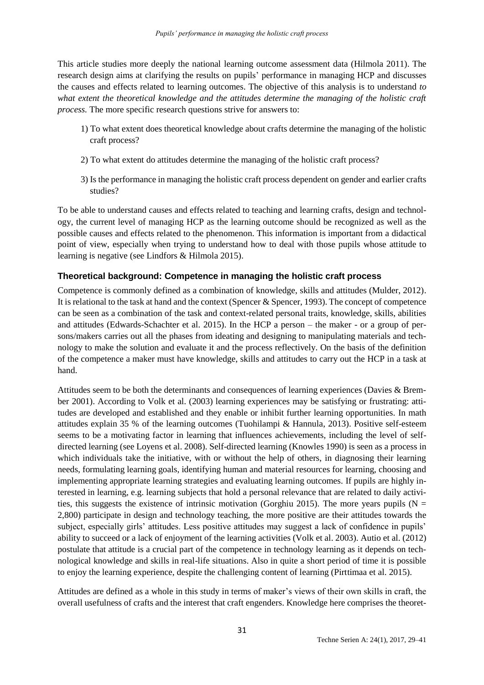This article studies more deeply the national learning outcome assessment data (Hilmola 2011). The research design aims at clarifying the results on pupils' performance in managing HCP and discusses the causes and effects related to learning outcomes. The objective of this analysis is to understand *to what extent the theoretical knowledge and the attitudes determine the managing of the holistic craft process.* The more specific research questions strive for answers to:

- 1) To what extent does theoretical knowledge about crafts determine the managing of the holistic craft process?
- 2) To what extent do attitudes determine the managing of the holistic craft process?
- 3) Is the performance in managing the holistic craft process dependent on gender and earlier crafts studies?

To be able to understand causes and effects related to teaching and learning crafts, design and technology, the current level of managing HCP as the learning outcome should be recognized as well as the possible causes and effects related to the phenomenon. This information is important from a didactical point of view, especially when trying to understand how to deal with those pupils whose attitude to learning is negative (see Lindfors & Hilmola 2015).

# **Theoretical background: Competence in managing the holistic craft process**

Competence is commonly defined as a combination of knowledge, skills and attitudes (Mulder, 2012). It is relational to the task at hand and the context (Spencer & Spencer, 1993). The concept of competence can be seen as a combination of the task and context-related personal traits, knowledge, skills, abilities and attitudes (Edwards-Schachter et al. 2015). In the HCP a person – the maker - or a group of persons/makers carries out all the phases from ideating and designing to manipulating materials and technology to make the solution and evaluate it and the process reflectively. On the basis of the definition of the competence a maker must have knowledge, skills and attitudes to carry out the HCP in a task at hand.

Attitudes seem to be both the determinants and consequences of learning experiences (Davies & Brember 2001). According to Volk et al. (2003) learning experiences may be satisfying or frustrating: attitudes are developed and established and they enable or inhibit further learning opportunities. In math attitudes explain 35 % of the learning outcomes (Tuohilampi & Hannula, 2013). Positive self-esteem seems to be a motivating factor in learning that influences achievements, including the level of selfdirected learning (see Loyens et al. 2008). Self-directed learning (Knowles 1990) is seen as a process in which individuals take the initiative, with or without the help of others, in diagnosing their learning needs, formulating learning goals, identifying human and material resources for learning, choosing and implementing appropriate learning strategies and evaluating learning outcomes. If pupils are highly interested in learning, e.g. learning subjects that hold a personal relevance that are related to daily activities, this suggests the existence of intrinsic motivation (Gorghiu 2015). The more years pupils ( $N =$ 2,800) participate in design and technology teaching, the more positive are their attitudes towards the subject, especially girls' attitudes. Less positive attitudes may suggest a lack of confidence in pupils' ability to succeed or a lack of enjoyment of the learning activities (Volk et al. 2003). Autio et al. (2012) postulate that attitude is a crucial part of the competence in technology learning as it depends on technological knowledge and skills in real-life situations. Also in quite a short period of time it is possible to enjoy the learning experience, despite the challenging content of learning (Pirttimaa et al. 2015).

Attitudes are defined as a whole in this study in terms of maker's views of their own skills in craft, the overall usefulness of crafts and the interest that craft engenders. Knowledge here comprises the theoret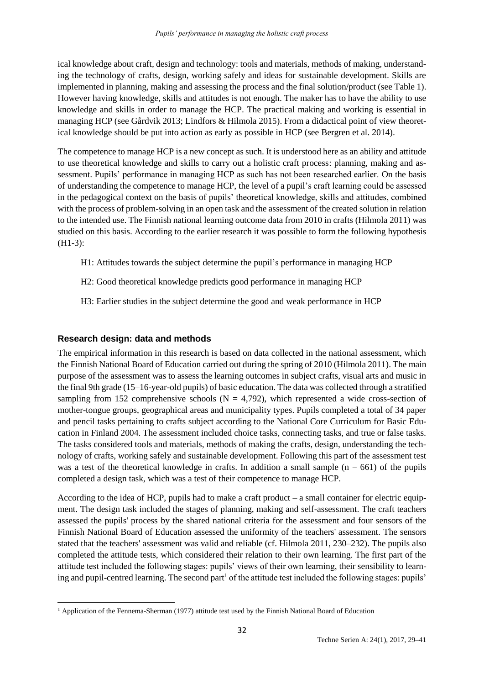ical knowledge about craft, design and technology: tools and materials, methods of making, understanding the technology of crafts, design, working safely and ideas for sustainable development. Skills are implemented in planning, making and assessing the process and the final solution/product (see Table 1). However having knowledge, skills and attitudes is not enough. The maker has to have the ability to use knowledge and skills in order to manage the HCP. The practical making and working is essential in managing HCP (see Gårdvik 2013; Lindfors & Hilmola 2015). From a didactical point of view theoretical knowledge should be put into action as early as possible in HCP (see Bergren et al. 2014).

The competence to manage HCP is a new concept as such. It is understood here as an ability and attitude to use theoretical knowledge and skills to carry out a holistic craft process: planning, making and assessment. Pupils' performance in managing HCP as such has not been researched earlier. On the basis of understanding the competence to manage HCP, the level of a pupil's craft learning could be assessed in the pedagogical context on the basis of pupils' theoretical knowledge, skills and attitudes, combined with the process of problem-solving in an open task and the assessment of the created solution in relation to the intended use. The Finnish national learning outcome data from 2010 in crafts (Hilmola 2011) was studied on this basis. According to the earlier research it was possible to form the following hypothesis (H1-3):

- H1: Attitudes towards the subject determine the pupil's performance in managing HCP
- H2: Good theoretical knowledge predicts good performance in managing HCP
- H3: Earlier studies in the subject determine the good and weak performance in HCP

### **Research design: data and methods**

 $\overline{a}$ 

The empirical information in this research is based on data collected in the national assessment, which the Finnish National Board of Education carried out during the spring of 2010 (Hilmola 2011). The main purpose of the assessment was to assess the learning outcomes in subject crafts, visual arts and music in the final 9th grade (15–16-year-old pupils) of basic education. The data was collected through a stratified sampling from 152 comprehensive schools ( $N = 4,792$ ), which represented a wide cross-section of mother-tongue groups, geographical areas and municipality types. Pupils completed a total of 34 paper and pencil tasks pertaining to crafts subject according to the National Core Curriculum for Basic Education in Finland 2004. The assessment included choice tasks, connecting tasks, and true or false tasks. The tasks considered tools and materials, methods of making the crafts, design, understanding the technology of crafts, working safely and sustainable development. Following this part of the assessment test was a test of the theoretical knowledge in crafts. In addition a small sample  $(n = 661)$  of the pupils completed a design task, which was a test of their competence to manage HCP.

According to the idea of HCP, pupils had to make a craft product – a small container for electric equipment. The design task included the stages of planning, making and self-assessment. The craft teachers assessed the pupils' process by the shared national criteria for the assessment and four sensors of the Finnish National Board of Education assessed the uniformity of the teachers' assessment. The sensors stated that the teachers' assessment was valid and reliable (cf. Hilmola 2011, 230–232). The pupils also completed the attitude tests, which considered their relation to their own learning. The first part of the attitude test included the following stages: pupils' views of their own learning, their sensibility to learning and pupil-centred learning. The second part<sup>1</sup> of the attitude test included the following stages: pupils'

 $1$  Application of the Fennema-Sherman (1977) attitude test used by the Finnish National Board of Education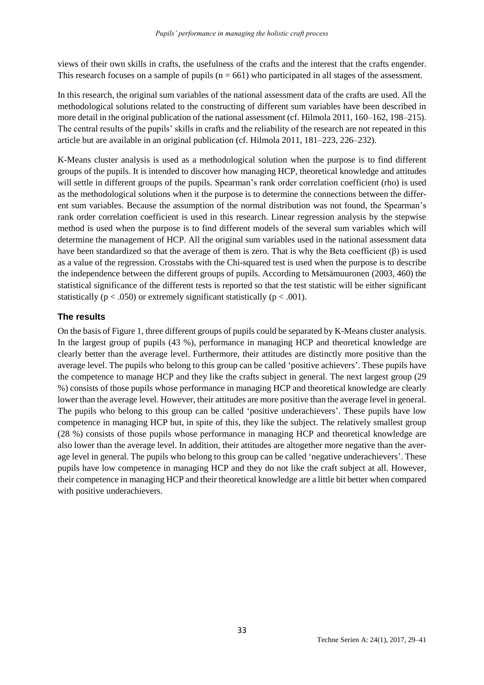views of their own skills in crafts, the usefulness of the crafts and the interest that the crafts engender. This research focuses on a sample of pupils  $(n = 661)$  who participated in all stages of the assessment.

In this research, the original sum variables of the national assessment data of the crafts are used. All the methodological solutions related to the constructing of different sum variables have been described in more detail in the original publication of the national assessment (cf. Hilmola 2011, 160–162, 198–215). The central results of the pupils' skills in crafts and the reliability of the research are not repeated in this article but are available in an original publication (cf. Hilmola 2011, 181–223, 226–232).

K-Means cluster analysis is used as a methodological solution when the purpose is to find different groups of the pupils. It is intended to discover how managing HCP, theoretical knowledge and attitudes will settle in different groups of the pupils. Spearman's rank order correlation coefficient (rho) is used as the methodological solutions when it the purpose is to determine the connections between the different sum variables. Because the assumption of the normal distribution was not found, the Spearman's rank order correlation coefficient is used in this research. Linear regression analysis by the stepwise method is used when the purpose is to find different models of the several sum variables which will determine the management of HCP. All the original sum variables used in the national assessment data have been standardized so that the average of them is zero. That is why the Beta coefficient (β) is used as a value of the regression. Crosstabs with the Chi-squared test is used when the purpose is to describe the independence between the different groups of pupils. According to Metsämuuronen (2003, 460) the statistical significance of the different tests is reported so that the test statistic will be either significant statistically ( $p < .050$ ) or extremely significant statistically ( $p < .001$ ).

# **The results**

On the basis of Figure 1, three different groups of pupils could be separated by K-Means cluster analysis. In the largest group of pupils (43 %), performance in managing HCP and theoretical knowledge are clearly better than the average level. Furthermore, their attitudes are distinctly more positive than the average level. The pupils who belong to this group can be called 'positive achievers'. These pupils have the competence to manage HCP and they like the crafts subject in general. The next largest group (29 %) consists of those pupils whose performance in managing HCP and theoretical knowledge are clearly lower than the average level. However, their attitudes are more positive than the average level in general. The pupils who belong to this group can be called 'positive underachievers'. These pupils have low competence in managing HCP but, in spite of this, they like the subject. The relatively smallest group (28 %) consists of those pupils whose performance in managing HCP and theoretical knowledge are also lower than the average level. In addition, their attitudes are altogether more negative than the average level in general. The pupils who belong to this group can be called 'negative underachievers'. These pupils have low competence in managing HCP and they do not like the craft subject at all. However, their competence in managing HCP and their theoretical knowledge are a little bit better when compared with positive underachievers.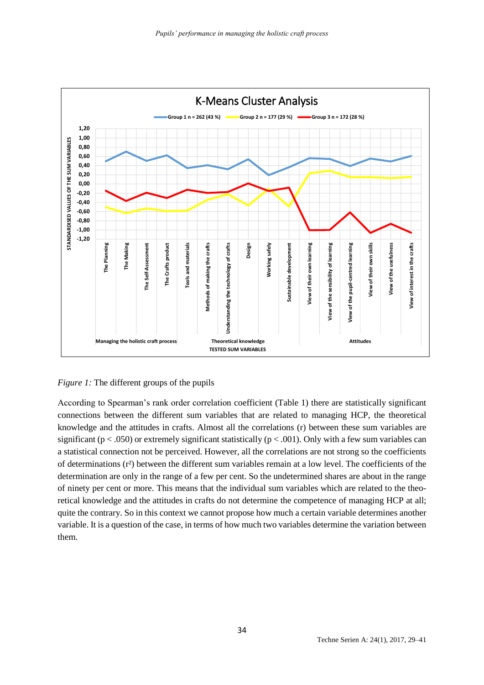



According to Spearman's rank order correlation coefficient (Table 1) there are statistically significant connections between the different sum variables that are related to managing HCP, the theoretical knowledge and the attitudes in crafts. Almost all the correlations (r) between these sum variables are significant ( $p < .050$ ) or extremely significant statistically ( $p < .001$ ). Only with a few sum variables can a statistical connection not be perceived. However, all the correlations are not strong so the coefficients of determinations (r²) between the different sum variables remain at a low level. The coefficients of the determination are only in the range of a few per cent. So the undetermined shares are about in the range of ninety per cent or more. This means that the individual sum variables which are related to the theoretical knowledge and the attitudes in crafts do not determine the competence of managing HCP at all; quite the contrary. So in this context we cannot propose how much a certain variable determines another variable. It is a question of the case, in terms of how much two variables determine the variation between them.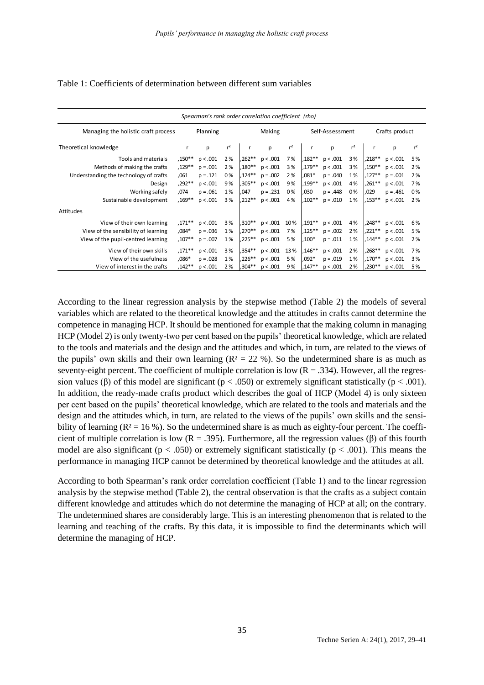#### Table 1: Coefficients of determination between different sum variables

|                                        |           | Spearman's rank order correlation coefficient (rho) |                |           |            |                |              |                 |       |           |                |                |
|----------------------------------------|-----------|-----------------------------------------------------|----------------|-----------|------------|----------------|--------------|-----------------|-------|-----------|----------------|----------------|
| Managing the holistic craft process    |           | Planning                                            |                |           | Making     |                |              | Self-Assessment |       |           | Crafts product |                |
| Theoretical knowledge                  | r         | p                                                   | r <sup>2</sup> |           | p          | r <sup>2</sup> | $\mathsf{r}$ | p               | $r^2$ | r         | p              | r <sup>2</sup> |
| Tools and materials                    | $,150***$ | p < .001                                            | 2%             | ,262**    | p < .001   | 7%             | $,182**$     | p < .001        | 3%    | $.218**$  | p < .001       | 5%             |
| Methods of making the crafts           | ,129**    | $p = .001$                                          | 2%             | ,180**    | p < .001   | 3%             | ,179**       | p < .001        | 3%    | ,150**    | p < .001       | 2%             |
| Understanding the technology of crafts | ,061      | $p = .121$                                          | 0%             | $,124**$  | $p = .002$ | 2%             | $.081*$      | $p = .040$      | 1%    | ,127**    | $p = .001$     | 2%             |
| Design                                 | $,292**$  | p < .001                                            | 9%             | .305**    | p < .001   | 9%             | ,199**       | p < .001        | 4%    | ,261**    | p < .001       | 7%             |
| Working safely                         | ,074      | $p = .061$                                          | 1%             | .047      | $p = .231$ | 0%             | .030         | $p = .448$      | 0%    | .029      | $p = .461$     | 0%             |
| Sustainable development                | $.169***$ | p < .001                                            | 3%             | $.212**$  | p < .001   | 4%             | $.102**$     | $p = .010$      | 1%    | ,153**    | p < .001       | 2%             |
| Attitudes                              |           |                                                     |                |           |            |                |              |                 |       |           |                |                |
| View of their own learning             | $,171***$ | p < .001                                            | 3%             | $.310**$  | p < .001   | 10%            | ,191**       | p < .001        | 4%    | .248**    | p < .001       | 6%             |
| View of the sensibility of learning    | $,084*$   | $p = .036$                                          | 1%             | $.270***$ | p < .001   | 7%             | ,125**       | $p = .002$      | 2%    | ,221**    | p < .001       | 5%             |
| View of the pupil-centred learning     | $,107**$  | $p = .007$                                          | 1%             | ,225**    | p < .001   | 5%             | $,100*$      | $p = .011$      | 1%    | $.144***$ | p < .001       | 2%             |
| View of their own skills               | $,171***$ | p < .001                                            | 3%             | ,354**    | p < .001   | 13%            | $,146**$     | p < .001        | 2%    | .268**    | p < .001       | 7%             |
| View of the usefulness                 | $,086*$   | $p = .028$                                          | 1%             | ,226**    | p < .001   | 5%             | $,092*$      | $p = .019$      | 1%    | ,170**    | p < .001       | 3%             |
| View of interest in the crafts         | $,142**$  | p < .001                                            | 2%             | ,304**    | p < .001   | 9%             | $.147**$     | p < .001        | 2%    | ,230**    | p < .001       | 5%             |

According to the linear regression analysis by the stepwise method (Table 2) the models of several variables which are related to the theoretical knowledge and the attitudes in crafts cannot determine the competence in managing HCP. It should be mentioned for example that the making column in managing HCP (Model 2) is only twenty-two per cent based on the pupils' theoretical knowledge, which are related to the tools and materials and the design and the attitudes and which, in turn, are related to the views of the pupils' own skills and their own learning  $(R^2 = 22 \%)$ . So the undetermined share is as much as seventy-eight percent. The coefficient of multiple correlation is low  $(R = .334)$ . However, all the regression values (β) of this model are significant ( $p < .050$ ) or extremely significant statistically ( $p < .001$ ). In addition, the ready-made crafts product which describes the goal of HCP (Model 4) is only sixteen per cent based on the pupils' theoretical knowledge, which are related to the tools and materials and the design and the attitudes which, in turn, are related to the views of the pupils' own skills and the sensibility of learning  $(R^2 = 16\%)$ . So the undetermined share is as much as eighty-four percent. The coefficient of multiple correlation is low  $(R = .395)$ . Furthermore, all the regression values (β) of this fourth model are also significant ( $p < .050$ ) or extremely significant statistically ( $p < .001$ ). This means the performance in managing HCP cannot be determined by theoretical knowledge and the attitudes at all.

According to both Spearman's rank order correlation coefficient (Table 1) and to the linear regression analysis by the stepwise method (Table 2), the central observation is that the crafts as a subject contain different knowledge and attitudes which do not determine the managing of HCP at all; on the contrary. The undetermined shares are considerably large. This is an interesting phenomenon that is related to the learning and teaching of the crafts. By this data, it is impossible to find the determinants which will determine the managing of HCP.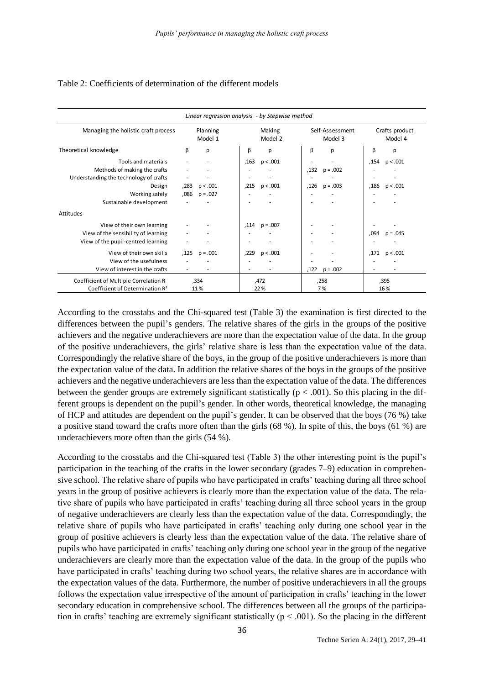#### Table 2: Coefficients of determination of the different models

| Linear regression analysis - by Stepwise method |      |                     |      |                   |      |                            |      |                           |  |
|-------------------------------------------------|------|---------------------|------|-------------------|------|----------------------------|------|---------------------------|--|
| Managing the holistic craft process             |      | Planning<br>Model 1 |      | Making<br>Model 2 |      | Self-Assessment<br>Model 3 |      | Crafts product<br>Model 4 |  |
| Theoretical knowledge                           | β    | p                   | β    | p                 | β    | р                          | β    | р                         |  |
| Tools and materials                             |      |                     | .163 | p < .001          |      |                            | .154 | p < .001                  |  |
| Methods of making the crafts                    |      |                     |      |                   | .132 | $p = .002$                 |      |                           |  |
| Understanding the technology of crafts          | ٠    |                     |      |                   |      |                            |      |                           |  |
| Design                                          | ,283 | p < .001            | .215 | p < .001          | ,126 | $p = .003$                 | ,186 | p < .001                  |  |
| Working safely                                  | .086 | $p = .027$          |      |                   |      |                            |      |                           |  |
| Sustainable development                         |      |                     |      |                   |      |                            |      |                           |  |
| Attitudes                                       |      |                     |      |                   |      |                            |      |                           |  |
| View of their own learning                      |      |                     | .114 | $p = .007$        |      |                            |      |                           |  |
| View of the sensibility of learning             |      |                     |      |                   |      |                            | ,094 | $p = .045$                |  |
| View of the pupil-centred learning              | ٠    |                     |      |                   |      |                            |      |                           |  |
| View of their own skills                        | .125 | $p = .001$          | .229 | p < .001          |      |                            | ,171 | p < .001                  |  |
| View of the usefulness                          |      |                     |      |                   |      |                            |      |                           |  |
| View of interest in the crafts                  |      |                     |      |                   | ,122 | $p = .002$                 |      |                           |  |
| Coefficient of Multiple Correlation R           |      | ,334                |      | 472,              |      | ,258                       |      | ,395                      |  |
| Coefficient of Determination R <sup>2</sup>     |      | 11%                 |      | 22 %              |      | 7%                         |      | 16%                       |  |

According to the crosstabs and the Chi-squared test (Table 3) the examination is first directed to the differences between the pupil's genders. The relative shares of the girls in the groups of the positive achievers and the negative underachievers are more than the expectation value of the data. In the group of the positive underachievers, the girls' relative share is less than the expectation value of the data. Correspondingly the relative share of the boys, in the group of the positive underachievers is more than the expectation value of the data. In addition the relative shares of the boys in the groups of the positive achievers and the negative underachievers are less than the expectation value of the data. The differences between the gender groups are extremely significant statistically ( $p < .001$ ). So this placing in the different groups is dependent on the pupil's gender. In other words, theoretical knowledge, the managing of HCP and attitudes are dependent on the pupil's gender. It can be observed that the boys (76 %) take a positive stand toward the crafts more often than the girls (68 %). In spite of this, the boys (61 %) are underachievers more often than the girls (54 %).

According to the crosstabs and the Chi-squared test (Table 3) the other interesting point is the pupil's participation in the teaching of the crafts in the lower secondary (grades 7–9) education in comprehensive school. The relative share of pupils who have participated in crafts' teaching during all three school years in the group of positive achievers is clearly more than the expectation value of the data. The relative share of pupils who have participated in crafts' teaching during all three school years in the group of negative underachievers are clearly less than the expectation value of the data. Correspondingly, the relative share of pupils who have participated in crafts' teaching only during one school year in the group of positive achievers is clearly less than the expectation value of the data. The relative share of pupils who have participated in crafts' teaching only during one school year in the group of the negative underachievers are clearly more than the expectation value of the data. In the group of the pupils who have participated in crafts' teaching during two school years, the relative shares are in accordance with the expectation values of the data. Furthermore, the number of positive underachievers in all the groups follows the expectation value irrespective of the amount of participation in crafts' teaching in the lower secondary education in comprehensive school. The differences between all the groups of the participation in crafts' teaching are extremely significant statistically ( $p < .001$ ). So the placing in the different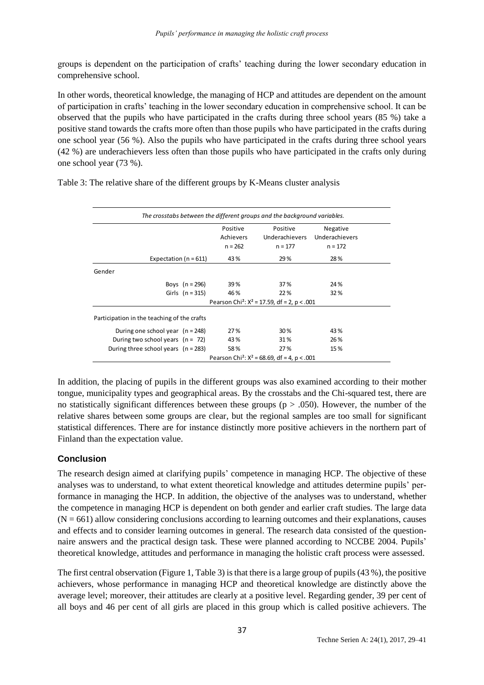groups is dependent on the participation of crafts' teaching during the lower secondary education in comprehensive school.

In other words, theoretical knowledge, the managing of HCP and attitudes are dependent on the amount of participation in crafts' teaching in the lower secondary education in comprehensive school. It can be observed that the pupils who have participated in the crafts during three school years (85 %) take a positive stand towards the crafts more often than those pupils who have participated in the crafts during one school year (56 %). Also the pupils who have participated in the crafts during three school years (42 %) are underachievers less often than those pupils who have participated in the crafts only during one school year (73 %).

|                                             | Positive  | Positive                                                   | Negative       |  |
|---------------------------------------------|-----------|------------------------------------------------------------|----------------|--|
|                                             | Achievers | Underachievers                                             | Underachievers |  |
|                                             | $n = 262$ | $n = 177$                                                  | $n = 172$      |  |
| Expectation ( $n = 611$ )                   | 43 %      | 29 %                                                       | 28%            |  |
| Gender                                      |           |                                                            |                |  |
| Boys $(n = 296)$                            | 39 %      | 37 %                                                       | 24 %           |  |
| Girls $(n = 315)$                           | 46 %      | 22 %                                                       | 32%            |  |
|                                             |           | Pearson Chi <sup>2</sup> : $X^2$ = 17.59, df = 2, p < .001 |                |  |
| Participation in the teaching of the crafts |           |                                                            |                |  |
| During one school year $(n = 248)$          | 27 %      | 30 %                                                       | 43 %           |  |
| During two school years $(n = 72)$          | 43 %      | 31%                                                        | 26 %           |  |
| During three school years $(n = 283)$       | 58%       | 27 %                                                       | 15 %           |  |
|                                             |           | Pearson Chi <sup>2</sup> : $X^2$ = 68.69, df = 4, p < .001 |                |  |

Table 3: The relative share of the different groups by K-Means cluster analysis

In addition, the placing of pupils in the different groups was also examined according to their mother tongue, municipality types and geographical areas. By the crosstabs and the Chi-squared test, there are no statistically significant differences between these groups ( $p > .050$ ). However, the number of the relative shares between some groups are clear, but the regional samples are too small for significant statistical differences. There are for instance distinctly more positive achievers in the northern part of Finland than the expectation value.

# **Conclusion**

The research design aimed at clarifying pupils' competence in managing HCP. The objective of these analyses was to understand, to what extent theoretical knowledge and attitudes determine pupils' performance in managing the HCP. In addition, the objective of the analyses was to understand, whether the competence in managing HCP is dependent on both gender and earlier craft studies. The large data  $(N = 661)$  allow considering conclusions according to learning outcomes and their explanations, causes and effects and to consider learning outcomes in general. The research data consisted of the questionnaire answers and the practical design task. These were planned according to NCCBE 2004. Pupils' theoretical knowledge, attitudes and performance in managing the holistic craft process were assessed.

The first central observation (Figure 1, Table 3) is that there is a large group of pupils(43 %), the positive achievers, whose performance in managing HCP and theoretical knowledge are distinctly above the average level; moreover, their attitudes are clearly at a positive level. Regarding gender, 39 per cent of all boys and 46 per cent of all girls are placed in this group which is called positive achievers. The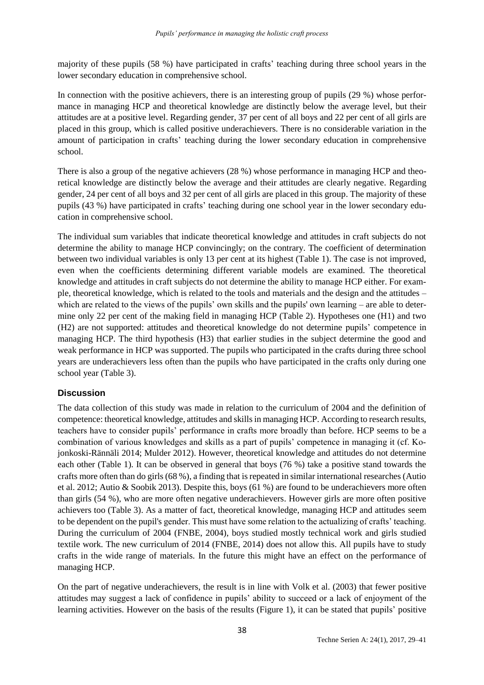majority of these pupils (58 %) have participated in crafts' teaching during three school years in the lower secondary education in comprehensive school.

In connection with the positive achievers, there is an interesting group of pupils (29 %) whose performance in managing HCP and theoretical knowledge are distinctly below the average level, but their attitudes are at a positive level. Regarding gender, 37 per cent of all boys and 22 per cent of all girls are placed in this group, which is called positive underachievers. There is no considerable variation in the amount of participation in crafts' teaching during the lower secondary education in comprehensive school.

There is also a group of the negative achievers (28 %) whose performance in managing HCP and theoretical knowledge are distinctly below the average and their attitudes are clearly negative. Regarding gender, 24 per cent of all boys and 32 per cent of all girls are placed in this group. The majority of these pupils (43 %) have participated in crafts' teaching during one school year in the lower secondary education in comprehensive school.

The individual sum variables that indicate theoretical knowledge and attitudes in craft subjects do not determine the ability to manage HCP convincingly; on the contrary. The coefficient of determination between two individual variables is only 13 per cent at its highest (Table 1). The case is not improved, even when the coefficients determining different variable models are examined. The theoretical knowledge and attitudes in craft subjects do not determine the ability to manage HCP either. For example, theoretical knowledge, which is related to the tools and materials and the design and the attitudes – which are related to the views of the pupils' own skills and the pupils' own learning – are able to determine only 22 per cent of the making field in managing HCP (Table 2). Hypotheses one (H1) and two (H2) are not supported: attitudes and theoretical knowledge do not determine pupils' competence in managing HCP. The third hypothesis (H3) that earlier studies in the subject determine the good and weak performance in HCP was supported. The pupils who participated in the crafts during three school years are underachievers less often than the pupils who have participated in the crafts only during one school year (Table 3).

# **Discussion**

The data collection of this study was made in relation to the curriculum of 2004 and the definition of competence: theoretical knowledge, attitudes and skillsin managing HCP. According to research results, teachers have to consider pupils' performance in crafts more broadly than before. HCP seems to be a combination of various knowledges and skills as a part of pupils' competence in managing it (cf. Kojonkoski-Rännäli 2014; Mulder 2012). However, theoretical knowledge and attitudes do not determine each other (Table 1). It can be observed in general that boys (76 %) take a positive stand towards the crafts more often than do girls (68 %), a finding that is repeated in similar international researches (Autio et al. 2012; Autio & Soobik 2013). Despite this, boys (61 %) are found to be underachievers more often than girls (54 %), who are more often negative underachievers. However girls are more often positive achievers too (Table 3). As a matter of fact, theoretical knowledge, managing HCP and attitudes seem to be dependent on the pupil's gender. This must have some relation to the actualizing of crafts' teaching. During the curriculum of 2004 (FNBE, 2004), boys studied mostly technical work and girls studied textile work. The new curriculum of 2014 (FNBE, 2014) does not allow this. All pupils have to study crafts in the wide range of materials. In the future this might have an effect on the performance of managing HCP.

On the part of negative underachievers, the result is in line with Volk et al. (2003) that fewer positive attitudes may suggest a lack of confidence in pupils' ability to succeed or a lack of enjoyment of the learning activities. However on the basis of the results (Figure 1), it can be stated that pupils' positive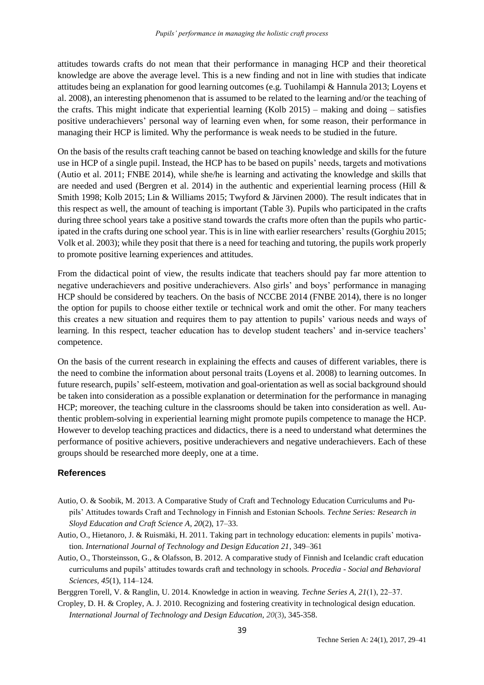attitudes towards crafts do not mean that their performance in managing HCP and their theoretical knowledge are above the average level. This is a new finding and not in line with studies that indicate attitudes being an explanation for good learning outcomes (e.g. Tuohilampi & Hannula 2013; Loyens et al. 2008), an interesting phenomenon that is assumed to be related to the learning and/or the teaching of the crafts. This might indicate that experiential learning (Kolb 2015) – making and doing – satisfies positive underachievers' personal way of learning even when, for some reason, their performance in managing their HCP is limited. Why the performance is weak needs to be studied in the future.

On the basis of the results craft teaching cannot be based on teaching knowledge and skills for the future use in HCP of a single pupil. Instead, the HCP has to be based on pupils' needs, targets and motivations (Autio et al. 2011; FNBE 2014), while she/he is learning and activating the knowledge and skills that are needed and used (Bergren et al. 2014) in the authentic and experiential learning process (Hill & Smith 1998; Kolb 2015; Lin & Williams 2015; Twyford & Järvinen 2000). The result indicates that in this respect as well, the amount of teaching is important (Table 3). Pupils who participated in the crafts during three school years take a positive stand towards the crafts more often than the pupils who participated in the crafts during one school year. This is in line with earlier researchers' results (Gorghiu 2015; Volk et al. 2003); while they posit that there is a need for teaching and tutoring, the pupils work properly to promote positive learning experiences and attitudes.

From the didactical point of view, the results indicate that teachers should pay far more attention to negative underachievers and positive underachievers. Also girls' and boys' performance in managing HCP should be considered by teachers. On the basis of NCCBE 2014 (FNBE 2014), there is no longer the option for pupils to choose either textile or technical work and omit the other. For many teachers this creates a new situation and requires them to pay attention to pupils' various needs and ways of learning. In this respect, teacher education has to develop student teachers' and in-service teachers' competence.

On the basis of the current research in explaining the effects and causes of different variables, there is the need to combine the information about personal traits (Loyens et al. 2008) to learning outcomes. In future research, pupils' self-esteem, motivation and goal-orientation as well as social background should be taken into consideration as a possible explanation or determination for the performance in managing HCP; moreover, the teaching culture in the classrooms should be taken into consideration as well. Authentic problem-solving in experiential learning might promote pupils competence to manage the HCP. However to develop teaching practices and didactics, there is a need to understand what determines the performance of positive achievers, positive underachievers and negative underachievers. Each of these groups should be researched more deeply, one at a time.

### **References**

- Autio, O. & Soobik, M. 2013. A Comparative Study of Craft and Technology Education Curriculums and Pupils' Attitudes towards Craft and Technology in Finnish and Estonian Schools. *Techne Series: Research in Sloyd Education and Craft Science A*, *20*(2), 17–33.
- Autio, O., Hietanoro, J. & Ruismäki, H. 2011. Taking part in technology education: elements in pupils' motivation. *International Journal of Technology and Design Education 21*, 349–361
- Autio, O., Thorsteinsson, G., & Olafsson, B. 2012. A comparative study of Finnish and Icelandic craft education curriculums and pupils' attitudes towards craft and technology in schools*. Procedia - Social and Behavioral Sciences, 45*(1), 114–124*.*

Berggren Torell, V. & Ranglin, U. 2014. Knowledge in action in weaving. *Techne Series A, 21*(1), 22‒37.

Cropley, D. H. & Cropley, A. J. 2010. Recognizing and fostering creativity in technological design education. *International Journal of Technology and Design Education, 20*(3), 345-358.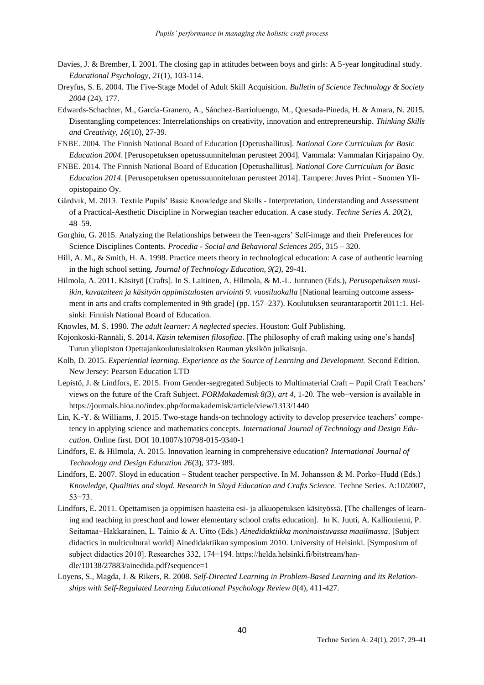- Davies, J. & Brember, I. 2001. The closing gap in attitudes between boys and girls: A 5-year longitudinal study. *Educational Psychology*, *21*(1), 103-114.
- Dreyfus, S. E. 2004. The Five-Stage Model of Adult Skill Acquisition. *Bulletin of Science Technology & Society 2004* (24), 177.
- Edwards-Schachter, M., García-Granero, A., Sánchez-Barrioluengo, M., Quesada-Pineda, H. & Amara, N. 2015. Disentangling competences: Interrelationships on creativity, innovation and entrepreneurship. *Thinking Skills and Creativity, 16*(10), 27-39.
- FNBE. 2004. The Finnish National Board of Education [Opetushallitus]. *National Core Curriculum for Basic Education 2004*. [Perusopetuksen opetussuunnitelman perusteet 2004]. Vammala: Vammalan Kirjapaino Oy.
- FNBE. 2014. The Finnish National Board of Education [Opetushallitus]. *National Core Curriculum for Basic Education 2014*. [Perusopetuksen opetussuunnitelman perusteet 2014]. Tampere: Juves Print - Suomen Yliopistopaino Oy.
- Gårdvik, M. 2013. Textile Pupils' Basic Knowledge and Skills Interpretation, Understanding and Assessment of a Practical-Aesthetic Discipline in Norwegian teacher education. A case study. *Techne Series A. 20*(2), 48–59.
- Gorghiu, G. 2015. Analyzing the Relationships between the Teen-agers' Self-image and their Preferences for Science Disciplines Contents. *Procedia - Social and Behavioral Sciences 205*, 315 – 320.
- Hill, A. M., & Smith, H. A. 1998. Practice meets theory in technological education: A case of authentic learning in the high school setting*. Journal of Technology Education, 9(2),* 29-41.
- Hilmola, A. 2011. Käsityö [Crafts]. In S. Laitinen, A. Hilmola, & M.-L. Juntunen (Eds.), *Perusopetuksen musiikin, kuvataiteen ja käsityön oppimistulosten arviointi 9. vuosiluokalla* [National learning outcome assessment in arts and crafts complemented in 9th grade] (pp. 157–237). Koulutuksen seurantaraportit 2011:1. Helsinki: Finnish National Board of Education.
- Knowles, M. S. 1990. *The adult learner: A neglected species*. Houston: Gulf Publishing.
- Kojonkoski-Rännäli, S. 2014. *Käsin tekemisen filosofiaa*. [The philosophy of craft making using one's hands] Turun yliopiston Opettajankoulutuslaitoksen Rauman yksikön julkaisuja.
- Kolb, D. 2015. *Experiential learning. Experience as the Source of Learning and Development.* Second Edition. New Jersey: Pearson Education LTD
- Lepistö, J. & Lindfors, E. 2015. From Gender-segregated Subjects to Multimaterial Craft Pupil Craft Teachers' views on the future of the Craft Subject. *FORMakademisk 8(3), art 4*, 1-20. The web−version is available in https://journals.hioa.no/index.php/formakademisk/article/view/1313/1440
- Lin, K.-Y. & Williams, J. 2015. Two-stage hands-on technology activity to develop preservice teachers' competency in applying science and mathematics concepts. *International Journal of Technology and Design Education*. Online first. DOI 10.1007/s10798-015-9340-1
- Lindfors, E. & Hilmola, A. 2015. Innovation learning in comprehensive education? *International Journal of Technology and Design Education 26*(3), 373-389.
- Lindfors, E. 2007. Sloyd in education Student teacher perspective. In M. Johansson & M. Porko−Hudd (Eds.) *Knowledge, Qualities and sloyd. Research in Sloyd Education and Crafts Science.* Techne Series. A:10/2007, 53−73.
- Lindfors, E. 2011. Opettamisen ja oppimisen haasteita esi- ja alkuopetuksen käsityössä. [The challenges of learning and teaching in preschool and lower elementary school crafts education]. In K. Juuti, A. Kallioniemi, P. Seitamaa−Hakkarainen, L. Tainio & A. Uitto (Eds.) *Ainedidaktiikka moninaistuvassa maailmassa*. [Subject didactics in multicultural world] Ainedidaktiikan symposium 2010. University of Helsinki. [Symposium of subject didactics 2010]. Researches 332, 174−194. https://helda.helsinki.fi/bitstream/handle/10138/27883/ainedida.pdf?sequence=1
- Loyens, S., Magda, J. & Rikers, R. 2008. *Self-Directed Learning in Problem-Based Learning and its Relationships with Self-Regulated Learning Educational Psychology Review 0*(4), 411-427.

40